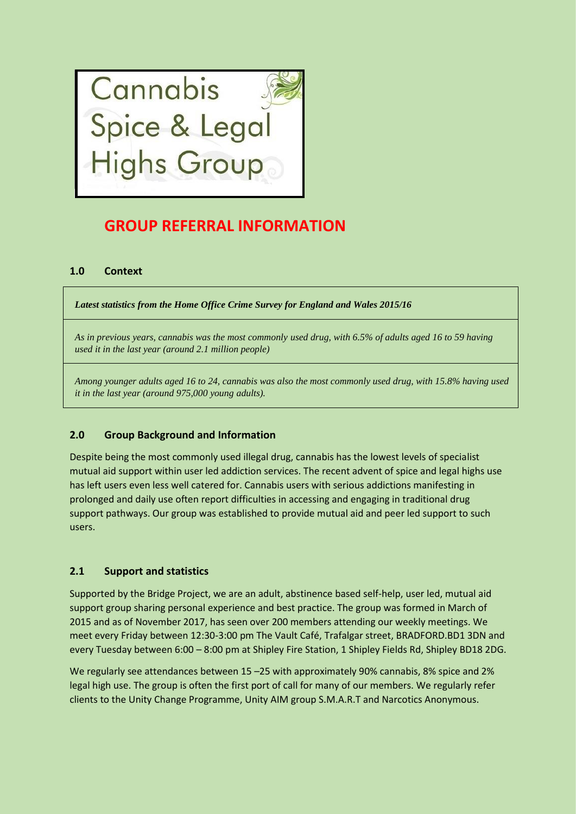

# **GROUP REFERRAL INFORMATION**

# **1.0 Context**

*Latest statistics from the Home Office Crime Survey for England and Wales 2015/16*

*As in previous years, cannabis was the most commonly used drug, with 6.5% of adults aged 16 to 59 having used it in the last year (around 2.1 million people)*

*Among younger adults aged 16 to 24, cannabis was also the most commonly used drug, with 15.8% having used it in the last year (around 975,000 young adults).*

# **2.0 Group Background and Information**

Despite being the most commonly used illegal drug, cannabis has the lowest levels of specialist mutual aid support within user led addiction services. The recent advent of spice and legal highs use has left users even less well catered for. Cannabis users with serious addictions manifesting in prolonged and daily use often report difficulties in accessing and engaging in traditional drug support pathways. Our group was established to provide mutual aid and peer led support to such users.

# **2.1 Support and statistics**

Supported by the Bridge Project, we are an adult, abstinence based self-help, user led, mutual aid support group sharing personal experience and best practice. The group was formed in March of 2015 and as of November 2017, has seen over 200 members attending our weekly meetings. We meet every Friday between 12:30-3:00 pm The Vault Café, Trafalgar street, BRADFORD.BD1 3DN and every Tuesday between 6:00 – 8:00 pm at Shipley Fire Station, 1 Shipley Fields Rd, Shipley BD18 2DG.

We regularly see attendances between 15 –25 with approximately 90% cannabis, 8% spice and 2% legal high use. The group is often the first port of call for many of our members. We regularly refer clients to the Unity Change Programme, Unity AIM group S.M.A.R.T and Narcotics Anonymous.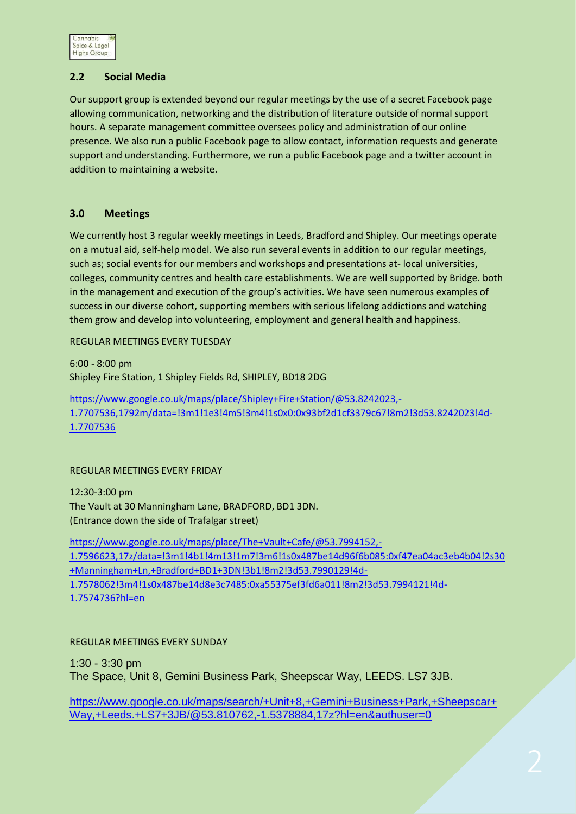

# **2.2 Social Media**

Our support group is extended beyond our regular meetings by the use of a secret Facebook page allowing communication, networking and the distribution of literature outside of normal support hours. A separate management committee oversees policy and administration of our online presence. We also run a public Facebook page to allow contact, information requests and generate support and understanding. Furthermore, we run a public Facebook page and a twitter account in addition to maintaining a website.

#### **3.0 Meetings**

We currently host 3 regular weekly meetings in Leeds, Bradford and Shipley. Our meetings operate on a mutual aid, self-help model. We also run several events in addition to our regular meetings, such as; social events for our members and workshops and presentations at- local universities, colleges, community centres and health care establishments. We are well supported by Bridge. both in the management and execution of the group's activities. We have seen numerous examples of success in our diverse cohort, supporting members with serious lifelong addictions and watching them grow and develop into volunteering, employment and general health and happiness.

#### REGULAR MEETINGS EVERY TUESDAY

6:00 - 8:00 pm Shipley Fire Station, 1 Shipley Fields Rd, SHIPLEY, BD18 2DG

[https://www.google.co.uk/maps/place/Shipley+Fire+Station/@53.8242023,-](https://www.google.co.uk/maps/place/Shipley+Fire+Station/@53.8242023,-1.7707536,1792m/data=!3m1!1e3!4m5!3m4!1s0x0:0x93bf2d1cf3379c67!8m2!3d53.8242023!4d-1.7707536) [1.7707536,1792m/data=!3m1!1e3!4m5!3m4!1s0x0:0x93bf2d1cf3379c67!8m2!3d53.8242023!4d-](https://www.google.co.uk/maps/place/Shipley+Fire+Station/@53.8242023,-1.7707536,1792m/data=!3m1!1e3!4m5!3m4!1s0x0:0x93bf2d1cf3379c67!8m2!3d53.8242023!4d-1.7707536)[1.7707536](https://www.google.co.uk/maps/place/Shipley+Fire+Station/@53.8242023,-1.7707536,1792m/data=!3m1!1e3!4m5!3m4!1s0x0:0x93bf2d1cf3379c67!8m2!3d53.8242023!4d-1.7707536)

#### REGULAR MEETINGS EVERY FRIDAY

12:30-3:00 pm The Vault at 30 Manningham Lane, BRADFORD, BD1 3DN. (Entrance down the side of Trafalgar street)

[https://www.google.co.uk/maps/place/The+Vault+Cafe/@53.7994152,-](https://www.google.co.uk/maps/place/The+Vault+Cafe/@53.7994152,-1.7596623,17z/data=!3m1!4b1!4m13!1m7!3m6!1s0x487be14d96f6b085:0xf47ea04ac3eb4b04!2s30+Manningham+Ln,+Bradford+BD1+3DN!3b1!8m2!3d53.7990129!4d-1.7578062!3m4!1s0x487be14d8e3c7485:0xa55375ef3fd6a011!8m2!3d53.7994121!4d-1.7574736?hl=en) [1.7596623,17z/data=!3m1!4b1!4m13!1m7!3m6!1s0x487be14d96f6b085:0xf47ea04ac3eb4b04!2s30](https://www.google.co.uk/maps/place/The+Vault+Cafe/@53.7994152,-1.7596623,17z/data=!3m1!4b1!4m13!1m7!3m6!1s0x487be14d96f6b085:0xf47ea04ac3eb4b04!2s30+Manningham+Ln,+Bradford+BD1+3DN!3b1!8m2!3d53.7990129!4d-1.7578062!3m4!1s0x487be14d8e3c7485:0xa55375ef3fd6a011!8m2!3d53.7994121!4d-1.7574736?hl=en) [+Manningham+Ln,+Bradford+BD1+3DN!3b1!8m2!3d53.7990129!4d-](https://www.google.co.uk/maps/place/The+Vault+Cafe/@53.7994152,-1.7596623,17z/data=!3m1!4b1!4m13!1m7!3m6!1s0x487be14d96f6b085:0xf47ea04ac3eb4b04!2s30+Manningham+Ln,+Bradford+BD1+3DN!3b1!8m2!3d53.7990129!4d-1.7578062!3m4!1s0x487be14d8e3c7485:0xa55375ef3fd6a011!8m2!3d53.7994121!4d-1.7574736?hl=en)[1.7578062!3m4!1s0x487be14d8e3c7485:0xa55375ef3fd6a011!8m2!3d53.7994121!4d-](https://www.google.co.uk/maps/place/The+Vault+Cafe/@53.7994152,-1.7596623,17z/data=!3m1!4b1!4m13!1m7!3m6!1s0x487be14d96f6b085:0xf47ea04ac3eb4b04!2s30+Manningham+Ln,+Bradford+BD1+3DN!3b1!8m2!3d53.7990129!4d-1.7578062!3m4!1s0x487be14d8e3c7485:0xa55375ef3fd6a011!8m2!3d53.7994121!4d-1.7574736?hl=en)[1.7574736?hl=en](https://www.google.co.uk/maps/place/The+Vault+Cafe/@53.7994152,-1.7596623,17z/data=!3m1!4b1!4m13!1m7!3m6!1s0x487be14d96f6b085:0xf47ea04ac3eb4b04!2s30+Manningham+Ln,+Bradford+BD1+3DN!3b1!8m2!3d53.7990129!4d-1.7578062!3m4!1s0x487be14d8e3c7485:0xa55375ef3fd6a011!8m2!3d53.7994121!4d-1.7574736?hl=en)

#### REGULAR MEETINGS EVERY SUNDAY

1:30 - 3:30 pm The Space, Unit 8, Gemini Business Park, Sheepscar Way, LEEDS. LS7 3JB.

[https://www.google.co.uk/maps/search/+Unit+8,+Gemini+Business+Park,+Sheepscar+](https://www.google.co.uk/maps/search/+Unit+8,+Gemini+Business+Park,+Sheepscar+Way,+Leeds.+LS7+3JB/@53.810762,-1.5378884,17z?hl=en&authuser=0) [Way,+Leeds.+LS7+3JB/@53.810762,-1.5378884,17z?hl=en&authuser=0](https://www.google.co.uk/maps/search/+Unit+8,+Gemini+Business+Park,+Sheepscar+Way,+Leeds.+LS7+3JB/@53.810762,-1.5378884,17z?hl=en&authuser=0)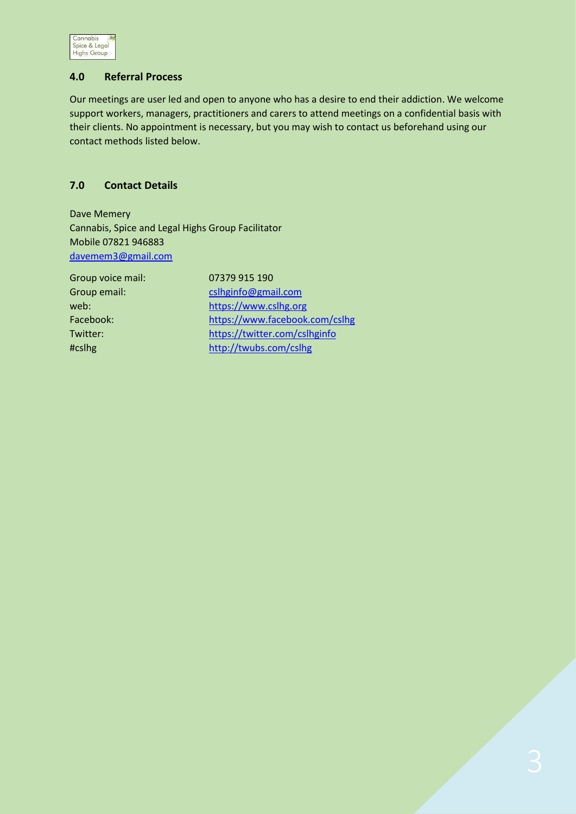

# **4.0 Referral Process**

Our meetings are user led and open to anyone who has a desire to end their addiction. We welcome support workers, managers, practitioners and carers to attend meetings on a confidential basis with their clients. No appointment is necessary, but you may wish to contact us beforehand using our contact methods listed below.

# **7.0 Contact Details**

Dave Memery Cannabis, Spice and Legal Highs Group Facilitator Mobile 07821 946883 [davemem3@gmail.com](mailto:davemem3@gmail.com)

Group voice mail: 07379 915 190

Group email: come [cslhginfo@gmail.com](mailto:cslhginfo@gmail.com) web: [https://www.cslhg.org](https://www.cslhg.org/) Facebook: <https://www.facebook.com/cslhg> Twitter: <https://twitter.com/cslhginfo> #cslhg <http://twubs.com/cslhg>